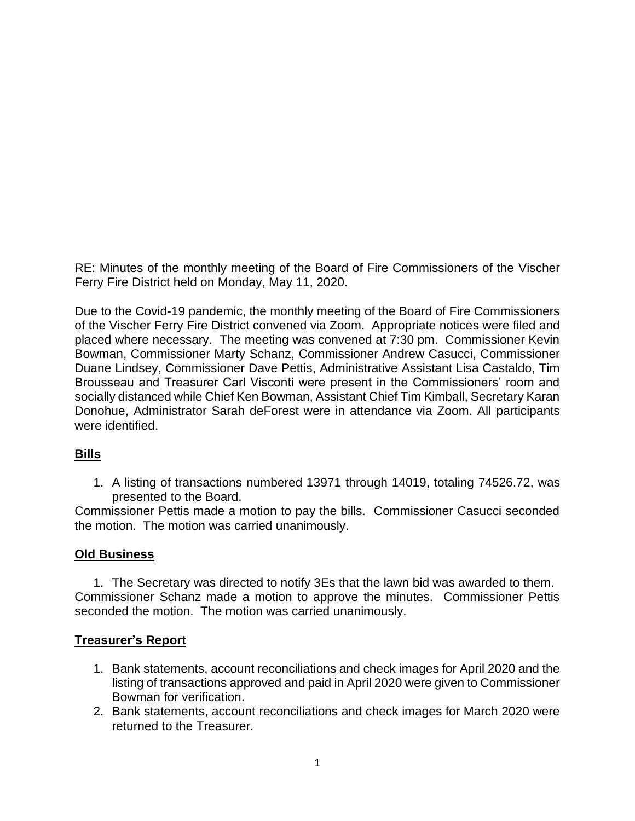RE: Minutes of the monthly meeting of the Board of Fire Commissioners of the Vischer Ferry Fire District held on Monday, May 11, 2020.

Due to the Covid-19 pandemic, the monthly meeting of the Board of Fire Commissioners of the Vischer Ferry Fire District convened via Zoom. Appropriate notices were filed and placed where necessary. The meeting was convened at 7:30 pm. Commissioner Kevin Bowman, Commissioner Marty Schanz, Commissioner Andrew Casucci, Commissioner Duane Lindsey, Commissioner Dave Pettis, Administrative Assistant Lisa Castaldo, Tim Brousseau and Treasurer Carl Visconti were present in the Commissioners' room and socially distanced while Chief Ken Bowman, Assistant Chief Tim Kimball, Secretary Karan Donohue, Administrator Sarah deForest were in attendance via Zoom. All participants were identified.

#### **Bills**

1. A listing of transactions numbered 13971 through 14019, totaling 74526.72, was presented to the Board.

Commissioner Pettis made a motion to pay the bills. Commissioner Casucci seconded the motion. The motion was carried unanimously.

#### **Old Business**

1. The Secretary was directed to notify 3Es that the lawn bid was awarded to them. Commissioner Schanz made a motion to approve the minutes. Commissioner Pettis seconded the motion. The motion was carried unanimously.

## **Treasurer's Report**

- 1. Bank statements, account reconciliations and check images for April 2020 and the listing of transactions approved and paid in April 2020 were given to Commissioner Bowman for verification.
- 2. Bank statements, account reconciliations and check images for March 2020 were returned to the Treasurer.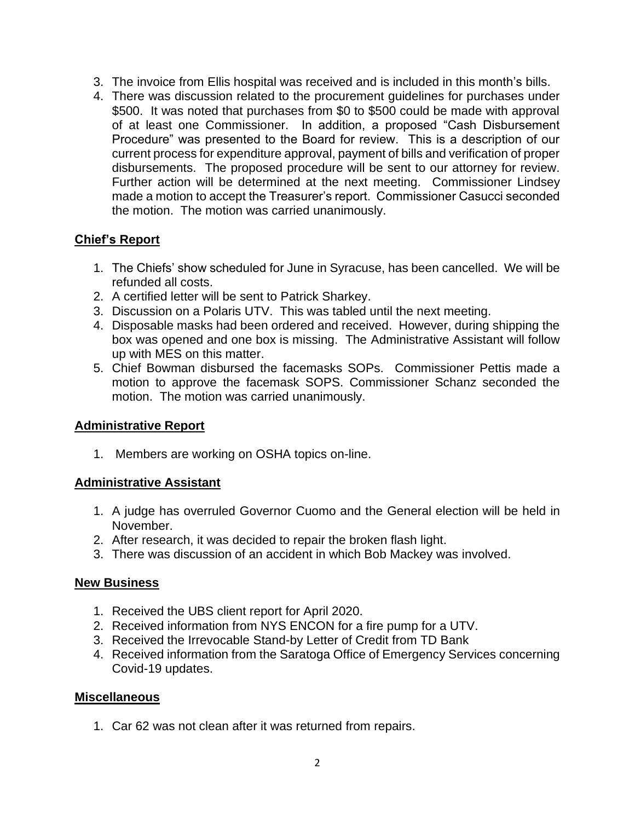- 3. The invoice from Ellis hospital was received and is included in this month's bills.
- 4. There was discussion related to the procurement guidelines for purchases under \$500. It was noted that purchases from \$0 to \$500 could be made with approval of at least one Commissioner. In addition, a proposed "Cash Disbursement Procedure" was presented to the Board for review. This is a description of our current process for expenditure approval, payment of bills and verification of proper disbursements. The proposed procedure will be sent to our attorney for review. Further action will be determined at the next meeting. Commissioner Lindsey made a motion to accept the Treasurer's report. Commissioner Casucci seconded the motion. The motion was carried unanimously.

## **Chief's Report**

- 1. The Chiefs' show scheduled for June in Syracuse, has been cancelled. We will be refunded all costs.
- 2. A certified letter will be sent to Patrick Sharkey.
- 3. Discussion on a Polaris UTV. This was tabled until the next meeting.
- 4. Disposable masks had been ordered and received. However, during shipping the box was opened and one box is missing. The Administrative Assistant will follow up with MES on this matter.
- 5. Chief Bowman disbursed the facemasks SOPs. Commissioner Pettis made a motion to approve the facemask SOPS. Commissioner Schanz seconded the motion. The motion was carried unanimously.

#### **Administrative Report**

1. Members are working on OSHA topics on-line.

## **Administrative Assistant**

- 1. A judge has overruled Governor Cuomo and the General election will be held in November.
- 2. After research, it was decided to repair the broken flash light.
- 3. There was discussion of an accident in which Bob Mackey was involved.

#### **New Business**

- 1. Received the UBS client report for April 2020.
- 2. Received information from NYS ENCON for a fire pump for a UTV.
- 3. Received the Irrevocable Stand-by Letter of Credit from TD Bank
- 4. Received information from the Saratoga Office of Emergency Services concerning Covid-19 updates.

#### **Miscellaneous**

1. Car 62 was not clean after it was returned from repairs.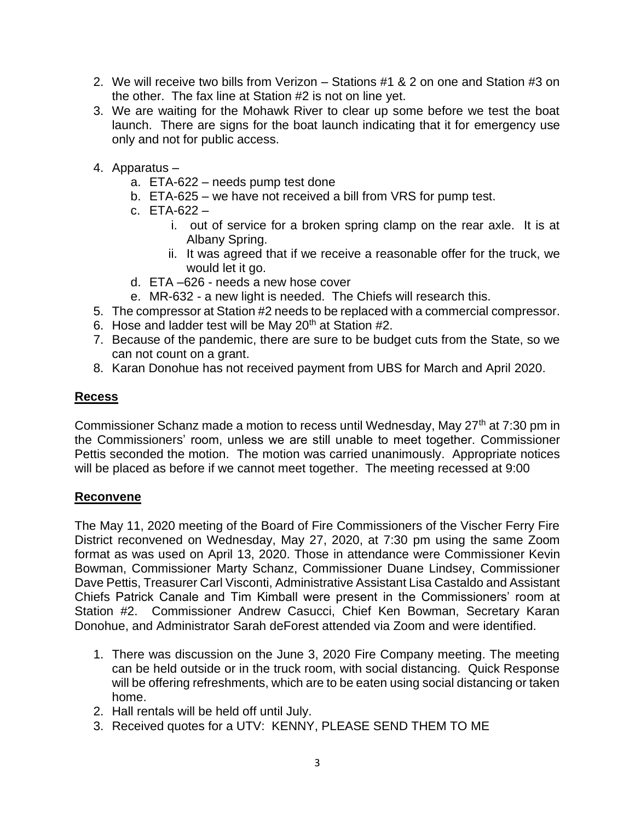- 2. We will receive two bills from Verizon Stations #1 & 2 on one and Station #3 on the other. The fax line at Station #2 is not on line yet.
- 3. We are waiting for the Mohawk River to clear up some before we test the boat launch. There are signs for the boat launch indicating that it for emergency use only and not for public access.
- 4. Apparatus
	- a. ETA-622 needs pump test done
	- b. ETA-625 we have not received a bill from VRS for pump test.
	- c. ETA-622
		- i. out of service for a broken spring clamp on the rear axle. It is at Albany Spring.
		- ii. It was agreed that if we receive a reasonable offer for the truck, we would let it go.
	- d. ETA –626 needs a new hose cover
	- e. MR-632 a new light is needed. The Chiefs will research this.
- 5. The compressor at Station #2 needs to be replaced with a commercial compressor.
- 6. Hose and ladder test will be May  $20<sup>th</sup>$  at Station #2.
- 7. Because of the pandemic, there are sure to be budget cuts from the State, so we can not count on a grant.
- 8. Karan Donohue has not received payment from UBS for March and April 2020.

### **Recess**

Commissioner Schanz made a motion to recess until Wednesday, May 27<sup>th</sup> at 7:30 pm in the Commissioners' room, unless we are still unable to meet together. Commissioner Pettis seconded the motion. The motion was carried unanimously. Appropriate notices will be placed as before if we cannot meet together. The meeting recessed at 9:00

#### **Reconvene**

The May 11, 2020 meeting of the Board of Fire Commissioners of the Vischer Ferry Fire District reconvened on Wednesday, May 27, 2020, at 7:30 pm using the same Zoom format as was used on April 13, 2020. Those in attendance were Commissioner Kevin Bowman, Commissioner Marty Schanz, Commissioner Duane Lindsey, Commissioner Dave Pettis, Treasurer Carl Visconti, Administrative Assistant Lisa Castaldo and Assistant Chiefs Patrick Canale and Tim Kimball were present in the Commissioners' room at Station #2. Commissioner Andrew Casucci, Chief Ken Bowman, Secretary Karan Donohue, and Administrator Sarah deForest attended via Zoom and were identified.

- 1. There was discussion on the June 3, 2020 Fire Company meeting. The meeting can be held outside or in the truck room, with social distancing. Quick Response will be offering refreshments, which are to be eaten using social distancing or taken home.
- 2. Hall rentals will be held off until July.
- 3. Received quotes for a UTV: KENNY, PLEASE SEND THEM TO ME